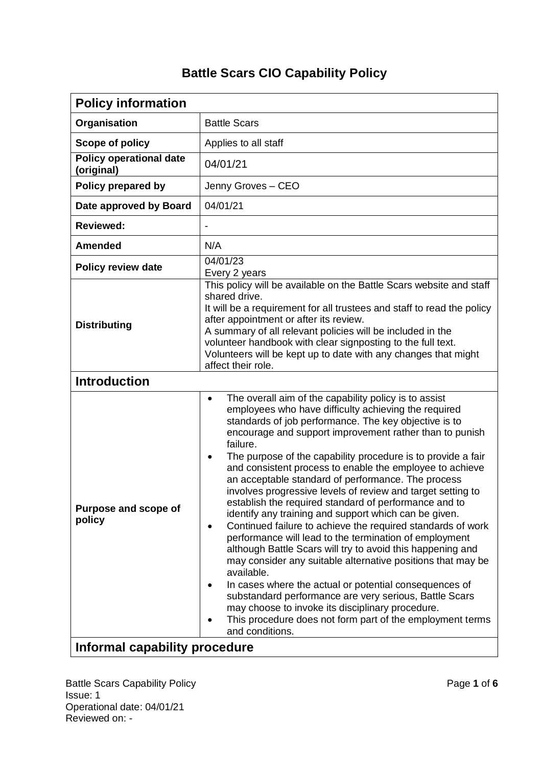## **Battle Scars CIO Capability Policy**

| <b>Policy information</b>                    |                                                                                                                                                                                                                                                                                                                                                                                                                                                                                                                                                                                                                                                                                                                                                                                                                                                                                                                                                                                                                                                                                                                                                                             |  |  |  |
|----------------------------------------------|-----------------------------------------------------------------------------------------------------------------------------------------------------------------------------------------------------------------------------------------------------------------------------------------------------------------------------------------------------------------------------------------------------------------------------------------------------------------------------------------------------------------------------------------------------------------------------------------------------------------------------------------------------------------------------------------------------------------------------------------------------------------------------------------------------------------------------------------------------------------------------------------------------------------------------------------------------------------------------------------------------------------------------------------------------------------------------------------------------------------------------------------------------------------------------|--|--|--|
| Organisation                                 | <b>Battle Scars</b>                                                                                                                                                                                                                                                                                                                                                                                                                                                                                                                                                                                                                                                                                                                                                                                                                                                                                                                                                                                                                                                                                                                                                         |  |  |  |
| Scope of policy                              | Applies to all staff                                                                                                                                                                                                                                                                                                                                                                                                                                                                                                                                                                                                                                                                                                                                                                                                                                                                                                                                                                                                                                                                                                                                                        |  |  |  |
| <b>Policy operational date</b><br>(original) | 04/01/21                                                                                                                                                                                                                                                                                                                                                                                                                                                                                                                                                                                                                                                                                                                                                                                                                                                                                                                                                                                                                                                                                                                                                                    |  |  |  |
| Policy prepared by                           | Jenny Groves - CEO                                                                                                                                                                                                                                                                                                                                                                                                                                                                                                                                                                                                                                                                                                                                                                                                                                                                                                                                                                                                                                                                                                                                                          |  |  |  |
| Date approved by Board                       | 04/01/21                                                                                                                                                                                                                                                                                                                                                                                                                                                                                                                                                                                                                                                                                                                                                                                                                                                                                                                                                                                                                                                                                                                                                                    |  |  |  |
| <b>Reviewed:</b>                             |                                                                                                                                                                                                                                                                                                                                                                                                                                                                                                                                                                                                                                                                                                                                                                                                                                                                                                                                                                                                                                                                                                                                                                             |  |  |  |
| <b>Amended</b>                               | N/A                                                                                                                                                                                                                                                                                                                                                                                                                                                                                                                                                                                                                                                                                                                                                                                                                                                                                                                                                                                                                                                                                                                                                                         |  |  |  |
| <b>Policy review date</b>                    | 04/01/23<br>Every 2 years                                                                                                                                                                                                                                                                                                                                                                                                                                                                                                                                                                                                                                                                                                                                                                                                                                                                                                                                                                                                                                                                                                                                                   |  |  |  |
| <b>Distributing</b>                          | This policy will be available on the Battle Scars website and staff<br>shared drive.<br>It will be a requirement for all trustees and staff to read the policy<br>after appointment or after its review.<br>A summary of all relevant policies will be included in the<br>volunteer handbook with clear signposting to the full text.<br>Volunteers will be kept up to date with any changes that might<br>affect their role.                                                                                                                                                                                                                                                                                                                                                                                                                                                                                                                                                                                                                                                                                                                                               |  |  |  |
| <b>Introduction</b>                          |                                                                                                                                                                                                                                                                                                                                                                                                                                                                                                                                                                                                                                                                                                                                                                                                                                                                                                                                                                                                                                                                                                                                                                             |  |  |  |
| Purpose and scope of<br>policy               | The overall aim of the capability policy is to assist<br>$\bullet$<br>employees who have difficulty achieving the required<br>standards of job performance. The key objective is to<br>encourage and support improvement rather than to punish<br>failure.<br>The purpose of the capability procedure is to provide a fair<br>$\bullet$<br>and consistent process to enable the employee to achieve<br>an acceptable standard of performance. The process<br>involves progressive levels of review and target setting to<br>establish the required standard of performance and to<br>identify any training and support which can be given.<br>Continued failure to achieve the required standards of work<br>٠<br>performance will lead to the termination of employment<br>although Battle Scars will try to avoid this happening and<br>may consider any suitable alternative positions that may be<br>available.<br>In cases where the actual or potential consequences of<br>substandard performance are very serious, Battle Scars<br>may choose to invoke its disciplinary procedure.<br>This procedure does not form part of the employment terms<br>and conditions. |  |  |  |
| Informal capability procedure                |                                                                                                                                                                                                                                                                                                                                                                                                                                                                                                                                                                                                                                                                                                                                                                                                                                                                                                                                                                                                                                                                                                                                                                             |  |  |  |

Battle Scars Capability Policy **Page 1** of 6 Issue: 1 Operational date: 04/01/21 Reviewed on: -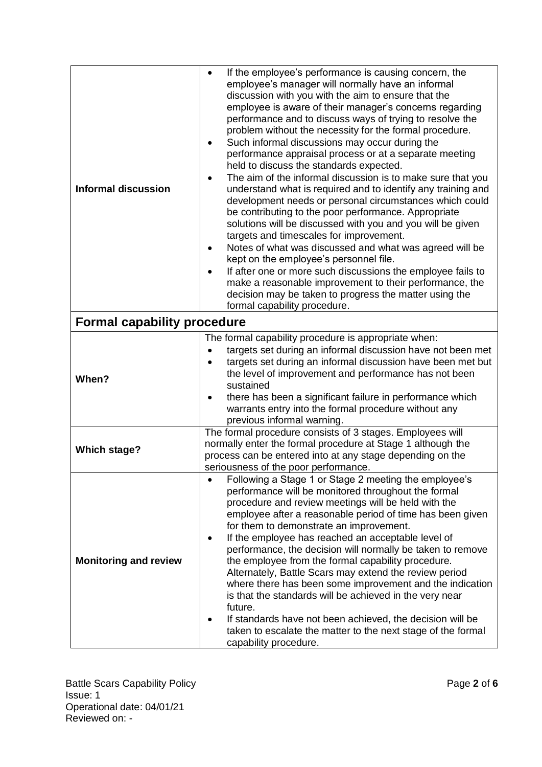| <b>Informal discussion</b>         | If the employee's performance is causing concern, the<br>$\bullet$<br>employee's manager will normally have an informal<br>discussion with you with the aim to ensure that the<br>employee is aware of their manager's concerns regarding<br>performance and to discuss ways of trying to resolve the<br>problem without the necessity for the formal procedure.<br>Such informal discussions may occur during the<br>$\bullet$<br>performance appraisal process or at a separate meeting<br>held to discuss the standards expected.<br>The aim of the informal discussion is to make sure that you<br>$\bullet$<br>understand what is required and to identify any training and<br>development needs or personal circumstances which could<br>be contributing to the poor performance. Appropriate<br>solutions will be discussed with you and you will be given<br>targets and timescales for improvement.<br>Notes of what was discussed and what was agreed will be<br>$\bullet$<br>kept on the employee's personnel file.<br>If after one or more such discussions the employee fails to<br>$\bullet$<br>make a reasonable improvement to their performance, the<br>decision may be taken to progress the matter using the<br>formal capability procedure. |  |  |
|------------------------------------|-----------------------------------------------------------------------------------------------------------------------------------------------------------------------------------------------------------------------------------------------------------------------------------------------------------------------------------------------------------------------------------------------------------------------------------------------------------------------------------------------------------------------------------------------------------------------------------------------------------------------------------------------------------------------------------------------------------------------------------------------------------------------------------------------------------------------------------------------------------------------------------------------------------------------------------------------------------------------------------------------------------------------------------------------------------------------------------------------------------------------------------------------------------------------------------------------------------------------------------------------------------------|--|--|
| <b>Formal capability procedure</b> |                                                                                                                                                                                                                                                                                                                                                                                                                                                                                                                                                                                                                                                                                                                                                                                                                                                                                                                                                                                                                                                                                                                                                                                                                                                                 |  |  |
| When?                              | The formal capability procedure is appropriate when:<br>targets set during an informal discussion have not been met<br>targets set during an informal discussion have been met but<br>the level of improvement and performance has not been<br>sustained<br>there has been a significant failure in performance which<br>$\bullet$<br>warrants entry into the formal procedure without any<br>previous informal warning.                                                                                                                                                                                                                                                                                                                                                                                                                                                                                                                                                                                                                                                                                                                                                                                                                                        |  |  |
| <b>Which stage?</b>                | The formal procedure consists of 3 stages. Employees will<br>normally enter the formal procedure at Stage 1 although the<br>process can be entered into at any stage depending on the<br>seriousness of the poor performance.                                                                                                                                                                                                                                                                                                                                                                                                                                                                                                                                                                                                                                                                                                                                                                                                                                                                                                                                                                                                                                   |  |  |
| <b>Monitoring and review</b>       | Following a Stage 1 or Stage 2 meeting the employee's<br>performance will be monitored throughout the formal<br>procedure and review meetings will be held with the<br>employee after a reasonable period of time has been given<br>for them to demonstrate an improvement.<br>If the employee has reached an acceptable level of<br>$\bullet$<br>performance, the decision will normally be taken to remove<br>the employee from the formal capability procedure.<br>Alternately, Battle Scars may extend the review period<br>where there has been some improvement and the indication<br>is that the standards will be achieved in the very near<br>future.<br>If standards have not been achieved, the decision will be<br>taken to escalate the matter to the next stage of the formal<br>capability procedure.                                                                                                                                                                                                                                                                                                                                                                                                                                            |  |  |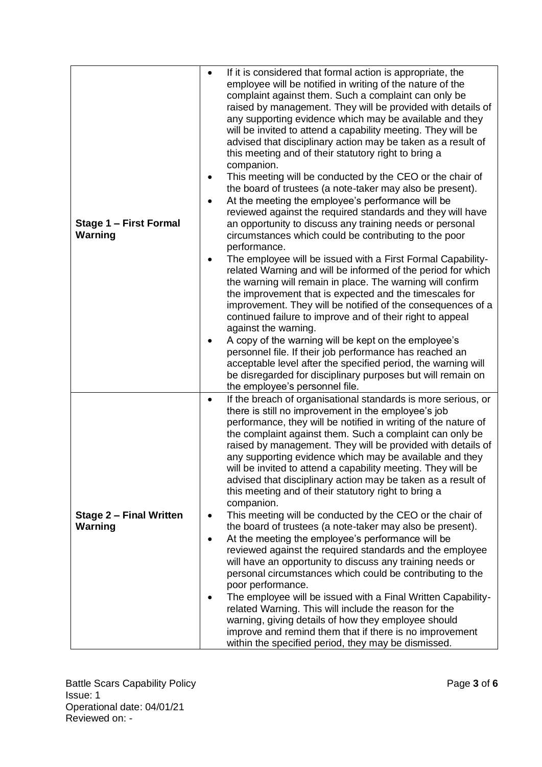| Stage 1 - First Formal<br><b>Warning</b>  | If it is considered that formal action is appropriate, the<br>$\bullet$<br>employee will be notified in writing of the nature of the<br>complaint against them. Such a complaint can only be<br>raised by management. They will be provided with details of<br>any supporting evidence which may be available and they<br>will be invited to attend a capability meeting. They will be<br>advised that disciplinary action may be taken as a result of<br>this meeting and of their statutory right to bring a<br>companion.<br>This meeting will be conducted by the CEO or the chair of<br>٠<br>the board of trustees (a note-taker may also be present).<br>At the meeting the employee's performance will be<br>$\bullet$<br>reviewed against the required standards and they will have<br>an opportunity to discuss any training needs or personal<br>circumstances which could be contributing to the poor<br>performance.<br>The employee will be issued with a First Formal Capability-<br>$\bullet$<br>related Warning and will be informed of the period for which<br>the warning will remain in place. The warning will confirm<br>the improvement that is expected and the timescales for<br>improvement. They will be notified of the consequences of a<br>continued failure to improve and of their right to appeal<br>against the warning.<br>A copy of the warning will be kept on the employee's<br>٠<br>personnel file. If their job performance has reached an<br>acceptable level after the specified period, the warning will<br>be disregarded for disciplinary purposes but will remain on |
|-------------------------------------------|-------------------------------------------------------------------------------------------------------------------------------------------------------------------------------------------------------------------------------------------------------------------------------------------------------------------------------------------------------------------------------------------------------------------------------------------------------------------------------------------------------------------------------------------------------------------------------------------------------------------------------------------------------------------------------------------------------------------------------------------------------------------------------------------------------------------------------------------------------------------------------------------------------------------------------------------------------------------------------------------------------------------------------------------------------------------------------------------------------------------------------------------------------------------------------------------------------------------------------------------------------------------------------------------------------------------------------------------------------------------------------------------------------------------------------------------------------------------------------------------------------------------------------------------------------------------------------------------------------------------|
| <b>Stage 2 - Final Written</b><br>Warning | the employee's personnel file.<br>If the breach of organisational standards is more serious, or<br>$\bullet$<br>there is still no improvement in the employee's job<br>performance, they will be notified in writing of the nature of<br>the complaint against them. Such a complaint can only be<br>raised by management. They will be provided with details of<br>any supporting evidence which may be available and they<br>will be invited to attend a capability meeting. They will be<br>advised that disciplinary action may be taken as a result of<br>this meeting and of their statutory right to bring a<br>companion.<br>This meeting will be conducted by the CEO or the chair of<br>$\bullet$<br>the board of trustees (a note-taker may also be present).<br>At the meeting the employee's performance will be<br>$\bullet$<br>reviewed against the required standards and the employee<br>will have an opportunity to discuss any training needs or<br>personal circumstances which could be contributing to the<br>poor performance.<br>The employee will be issued with a Final Written Capability-<br>٠<br>related Warning. This will include the reason for the<br>warning, giving details of how they employee should<br>improve and remind them that if there is no improvement<br>within the specified period, they may be dismissed.                                                                                                                                                                                                                                                      |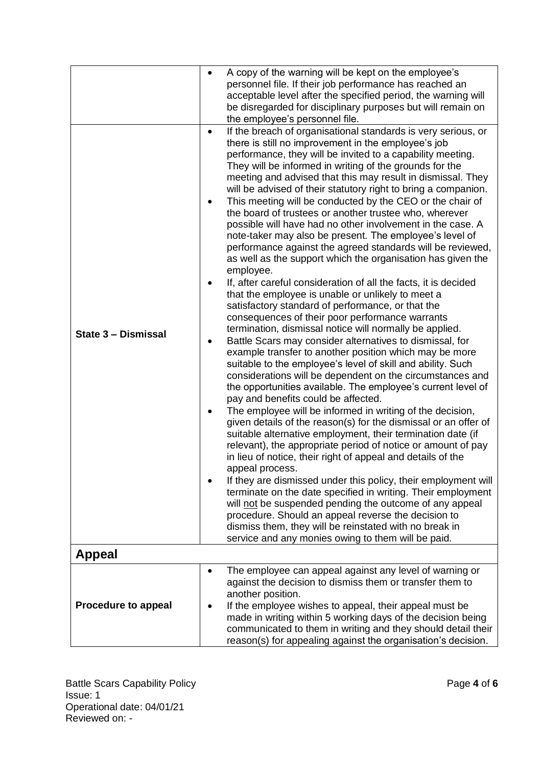|                            | $\bullet$                                | A copy of the warning will be kept on the employee's<br>personnel file. If their job performance has reached an<br>acceptable level after the specified period, the warning will<br>be disregarded for disciplinary purposes but will remain on<br>the employee's personnel file.                                                                                                                                                                                                                                                                                                                                                                                                                                                                                                                                                                                                                                                                                                                                                                                                                                                                                                                                                                                                                                                                                                                                                                                                                                                                                                                                                                                                                                                                                                                                                                                                                                                                                                                                                                                                                                                                 |
|----------------------------|------------------------------------------|---------------------------------------------------------------------------------------------------------------------------------------------------------------------------------------------------------------------------------------------------------------------------------------------------------------------------------------------------------------------------------------------------------------------------------------------------------------------------------------------------------------------------------------------------------------------------------------------------------------------------------------------------------------------------------------------------------------------------------------------------------------------------------------------------------------------------------------------------------------------------------------------------------------------------------------------------------------------------------------------------------------------------------------------------------------------------------------------------------------------------------------------------------------------------------------------------------------------------------------------------------------------------------------------------------------------------------------------------------------------------------------------------------------------------------------------------------------------------------------------------------------------------------------------------------------------------------------------------------------------------------------------------------------------------------------------------------------------------------------------------------------------------------------------------------------------------------------------------------------------------------------------------------------------------------------------------------------------------------------------------------------------------------------------------------------------------------------------------------------------------------------------------|
| State 3 - Dismissal        | $\bullet$<br>$\bullet$<br>٠<br>$\bullet$ | If the breach of organisational standards is very serious, or<br>there is still no improvement in the employee's job<br>performance, they will be invited to a capability meeting.<br>They will be informed in writing of the grounds for the<br>meeting and advised that this may result in dismissal. They<br>will be advised of their statutory right to bring a companion.<br>This meeting will be conducted by the CEO or the chair of<br>the board of trustees or another trustee who, wherever<br>possible will have had no other involvement in the case. A<br>note-taker may also be present. The employee's level of<br>performance against the agreed standards will be reviewed,<br>as well as the support which the organisation has given the<br>employee.<br>If, after careful consideration of all the facts, it is decided<br>that the employee is unable or unlikely to meet a<br>satisfactory standard of performance, or that the<br>consequences of their poor performance warrants<br>termination, dismissal notice will normally be applied.<br>Battle Scars may consider alternatives to dismissal, for<br>example transfer to another position which may be more<br>suitable to the employee's level of skill and ability. Such<br>considerations will be dependent on the circumstances and<br>the opportunities available. The employee's current level of<br>pay and benefits could be affected.<br>The employee will be informed in writing of the decision,<br>given details of the reason(s) for the dismissal or an offer of<br>suitable alternative employment, their termination date (if<br>relevant), the appropriate period of notice or amount of pay<br>in lieu of notice, their right of appeal and details of the<br>appeal process.<br>If they are dismissed under this policy, their employment will<br>terminate on the date specified in writing. Their employment<br>will not be suspended pending the outcome of any appeal<br>procedure. Should an appeal reverse the decision to<br>dismiss them, they will be reinstated with no break in<br>service and any monies owing to them will be paid. |
| <b>Appeal</b>              |                                          |                                                                                                                                                                                                                                                                                                                                                                                                                                                                                                                                                                                                                                                                                                                                                                                                                                                                                                                                                                                                                                                                                                                                                                                                                                                                                                                                                                                                                                                                                                                                                                                                                                                                                                                                                                                                                                                                                                                                                                                                                                                                                                                                                   |
| <b>Procedure to appeal</b> | $\bullet$                                | The employee can appeal against any level of warning or<br>against the decision to dismiss them or transfer them to<br>another position.<br>If the employee wishes to appeal, their appeal must be<br>made in writing within 5 working days of the decision being<br>communicated to them in writing and they should detail their<br>reason(s) for appealing against the organisation's decision.                                                                                                                                                                                                                                                                                                                                                                                                                                                                                                                                                                                                                                                                                                                                                                                                                                                                                                                                                                                                                                                                                                                                                                                                                                                                                                                                                                                                                                                                                                                                                                                                                                                                                                                                                 |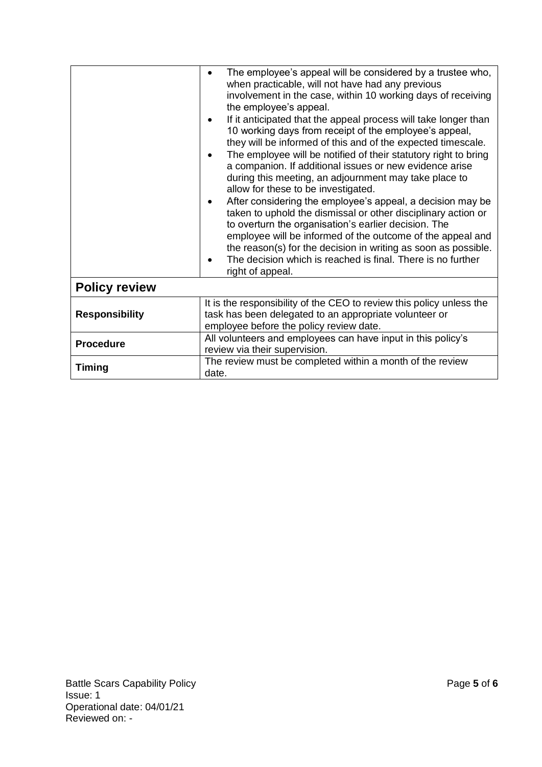|                       | The employee's appeal will be considered by a trustee who,<br>$\bullet$<br>when practicable, will not have had any previous<br>involvement in the case, within 10 working days of receiving<br>the employee's appeal.<br>If it anticipated that the appeal process will take longer than<br>٠<br>10 working days from receipt of the employee's appeal,<br>they will be informed of this and of the expected timescale.<br>The employee will be notified of their statutory right to bring<br>٠<br>a companion. If additional issues or new evidence arise<br>during this meeting, an adjournment may take place to<br>allow for these to be investigated.<br>After considering the employee's appeal, a decision may be<br>٠<br>taken to uphold the dismissal or other disciplinary action or<br>to overturn the organisation's earlier decision. The<br>employee will be informed of the outcome of the appeal and<br>the reason(s) for the decision in writing as soon as possible.<br>The decision which is reached is final. There is no further<br>right of appeal. |  |  |
|-----------------------|---------------------------------------------------------------------------------------------------------------------------------------------------------------------------------------------------------------------------------------------------------------------------------------------------------------------------------------------------------------------------------------------------------------------------------------------------------------------------------------------------------------------------------------------------------------------------------------------------------------------------------------------------------------------------------------------------------------------------------------------------------------------------------------------------------------------------------------------------------------------------------------------------------------------------------------------------------------------------------------------------------------------------------------------------------------------------|--|--|
| <b>Policy review</b>  |                                                                                                                                                                                                                                                                                                                                                                                                                                                                                                                                                                                                                                                                                                                                                                                                                                                                                                                                                                                                                                                                           |  |  |
| <b>Responsibility</b> | It is the responsibility of the CEO to review this policy unless the<br>task has been delegated to an appropriate volunteer or<br>employee before the policy review date.                                                                                                                                                                                                                                                                                                                                                                                                                                                                                                                                                                                                                                                                                                                                                                                                                                                                                                 |  |  |
| <b>Procedure</b>      | All volunteers and employees can have input in this policy's<br>review via their supervision.                                                                                                                                                                                                                                                                                                                                                                                                                                                                                                                                                                                                                                                                                                                                                                                                                                                                                                                                                                             |  |  |
| Timing                | The review must be completed within a month of the review<br>date.                                                                                                                                                                                                                                                                                                                                                                                                                                                                                                                                                                                                                                                                                                                                                                                                                                                                                                                                                                                                        |  |  |